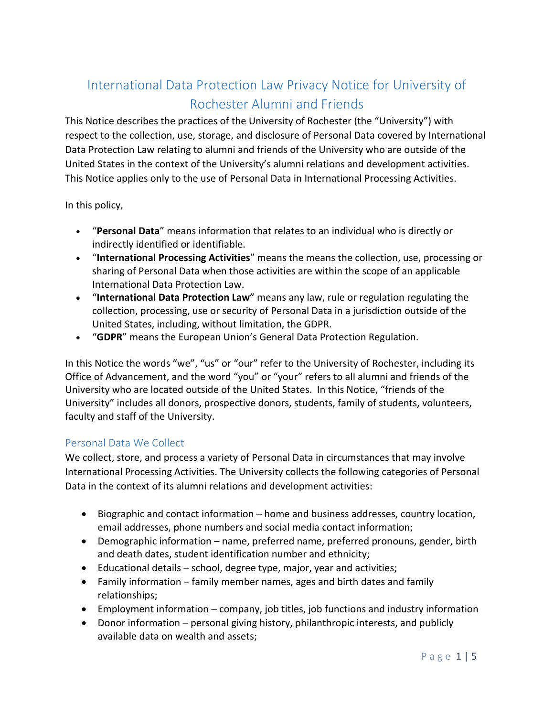# International Data Protection Law Privacy Notice for University of Rochester Alumni and Friends

This Notice describes the practices of the University of Rochester (the "University") with respect to the collection, use, storage, and disclosure of Personal Data covered by International Data Protection Law relating to alumni and friends of the University who are outside of the United States in the context of the University's alumni relations and development activities. This Notice applies only to the use of Personal Data in International Processing Activities.

In this policy,

- "**Personal Data**" means information that relates to an individual who is directly or indirectly identified or identifiable.
- "**International Processing Activities**" means the means the collection, use, processing or sharing of Personal Data when those activities are within the scope of an applicable International Data Protection Law.
- "**International Data Protection Law**" means any law, rule or regulation regulating the collection, processing, use or security of Personal Data in a jurisdiction outside of the United States, including, without limitation, the GDPR.
- "**GDPR**" means the European Union's General Data Protection Regulation.

In this Notice the words "we", "us" or "our" refer to the University of Rochester, including its Office of Advancement, and the word "you" or "your" refers to all alumni and friends of the University who are located outside of the United States. In this Notice, "friends of the University" includes all donors, prospective donors, students, family of students, volunteers, faculty and staff of the University.

#### Personal Data We Collect

We collect, store, and process a variety of Personal Data in circumstances that may involve International Processing Activities. The University collects the following categories of Personal Data in the context of its alumni relations and development activities:

- Biographic and contact information home and business addresses, country location, email addresses, phone numbers and social media contact information;
- Demographic information name, preferred name, preferred pronouns, gender, birth and death dates, student identification number and ethnicity;
- Educational details school, degree type, major, year and activities;
- Family information family member names, ages and birth dates and family relationships;
- Employment information company, job titles, job functions and industry information
- Donor information personal giving history, philanthropic interests, and publicly available data on wealth and assets;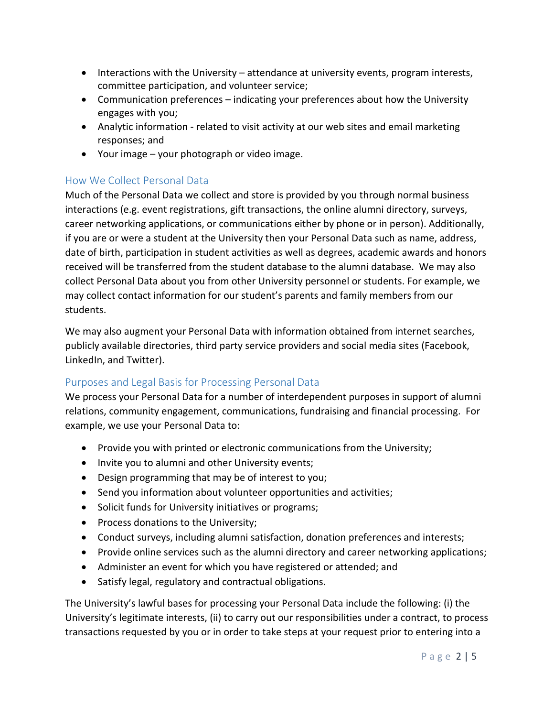- Interactions with the University attendance at university events, program interests, committee participation, and volunteer service;
- Communication preferences indicating your preferences about how the University engages with you;
- Analytic information related to visit activity at our web sites and email marketing responses; and
- Your image your photograph or video image.

### How We Collect Personal Data

Much of the Personal Data we collect and store is provided by you through normal business interactions (e.g. event registrations, gift transactions, the online alumni directory, surveys, career networking applications, or communications either by phone or in person). Additionally, if you are or were a student at the University then your Personal Data such as name, address, date of birth, participation in student activities as well as degrees, academic awards and honors received will be transferred from the student database to the alumni database. We may also collect Personal Data about you from other University personnel or students. For example, we may collect contact information for our student's parents and family members from our students.

We may also augment your Personal Data with information obtained from internet searches, publicly available directories, third party service providers and social media sites (Facebook, LinkedIn, and Twitter).

#### Purposes and Legal Basis for Processing Personal Data

We process your Personal Data for a number of interdependent purposes in support of alumni relations, community engagement, communications, fundraising and financial processing. For example, we use your Personal Data to:

- Provide you with printed or electronic communications from the University;
- Invite you to alumni and other University events;
- Design programming that may be of interest to you;
- Send you information about volunteer opportunities and activities;
- Solicit funds for University initiatives or programs;
- Process donations to the University;
- Conduct surveys, including alumni satisfaction, donation preferences and interests;
- Provide online services such as the alumni directory and career networking applications;
- Administer an event for which you have registered or attended; and
- Satisfy legal, regulatory and contractual obligations.

The University's lawful bases for processing your Personal Data include the following: (i) the University's legitimate interests, (ii) to carry out our responsibilities under a contract, to process transactions requested by you or in order to take steps at your request prior to entering into a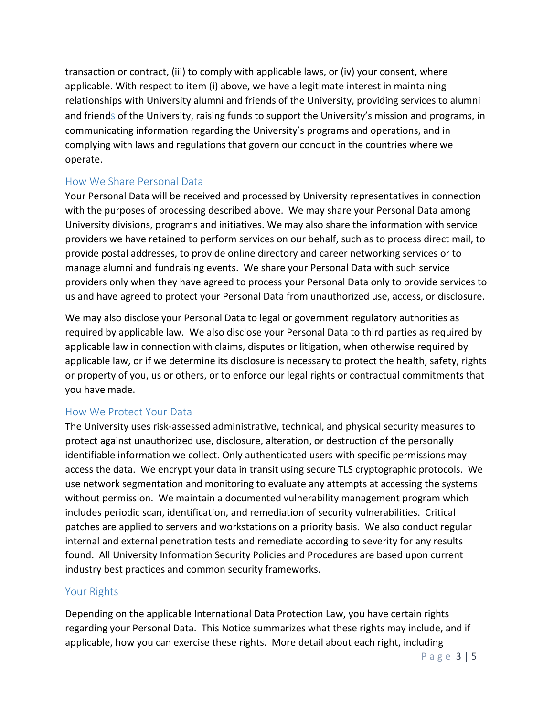transaction or contract, (iii) to comply with applicable laws, or (iv) your consent, where applicable. With respect to item (i) above, we have a legitimate interest in maintaining relationships with University alumni and friends of the University, providing services to alumni and friends of the University, raising funds to support the University's mission and programs, in communicating information regarding the University's programs and operations, and in complying with laws and regulations that govern our conduct in the countries where we operate.

#### How We Share Personal Data

Your Personal Data will be received and processed by University representatives in connection with the purposes of processing described above. We may share your Personal Data among University divisions, programs and initiatives. We may also share the information with service providers we have retained to perform services on our behalf, such as to process direct mail, to provide postal addresses, to provide online directory and career networking services or to manage alumni and fundraising events. We share your Personal Data with such service providers only when they have agreed to process your Personal Data only to provide services to us and have agreed to protect your Personal Data from unauthorized use, access, or disclosure.

We may also disclose your Personal Data to legal or government regulatory authorities as required by applicable law. We also disclose your Personal Data to third parties as required by applicable law in connection with claims, disputes or litigation, when otherwise required by applicable law, or if we determine its disclosure is necessary to protect the health, safety, rights or property of you, us or others, or to enforce our legal rights or contractual commitments that you have made.

#### How We Protect Your Data

The University uses risk-assessed administrative, technical, and physical security measures to protect against unauthorized use, disclosure, alteration, or destruction of the personally identifiable information we collect. Only authenticated users with specific permissions may access the data. We encrypt your data in transit using secure TLS cryptographic protocols. We use network segmentation and monitoring to evaluate any attempts at accessing the systems without permission. We maintain a documented vulnerability management program which includes periodic scan, identification, and remediation of security vulnerabilities. Critical patches are applied to servers and workstations on a priority basis. We also conduct regular internal and external penetration tests and remediate according to severity for any results found. All University Information Security Policies and Procedures are based upon current industry best practices and common security frameworks.

#### Your Rights

Depending on the applicable International Data Protection Law, you have certain rights regarding your Personal Data. This Notice summarizes what these rights may include, and if applicable, how you can exercise these rights. More detail about each right, including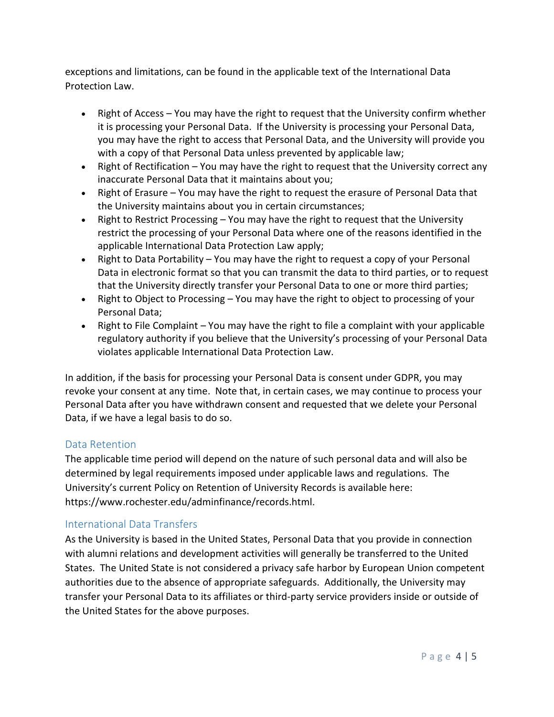exceptions and limitations, can be found in the applicable text of the International Data Protection Law.

- Right of Access You may have the right to request that the University confirm whether it is processing your Personal Data. If the University is processing your Personal Data, you may have the right to access that Personal Data, and the University will provide you with a copy of that Personal Data unless prevented by applicable law;
- Right of Rectification You may have the right to request that the University correct any inaccurate Personal Data that it maintains about you;
- Right of Erasure You may have the right to request the erasure of Personal Data that the University maintains about you in certain circumstances;
- Right to Restrict Processing You may have the right to request that the University restrict the processing of your Personal Data where one of the reasons identified in the applicable International Data Protection Law apply;
- Right to Data Portability You may have the right to request a copy of your Personal Data in electronic format so that you can transmit the data to third parties, or to request that the University directly transfer your Personal Data to one or more third parties;
- Right to Object to Processing You may have the right to object to processing of your Personal Data;
- Right to File Complaint You may have the right to file a complaint with your applicable regulatory authority if you believe that the University's processing of your Personal Data violates applicable International Data Protection Law.

In addition, if the basis for processing your Personal Data is consent under GDPR, you may revoke your consent at any time. Note that, in certain cases, we may continue to process your Personal Data after you have withdrawn consent and requested that we delete your Personal Data, if we have a legal basis to do so.

#### Data Retention

The applicable time period will depend on the nature of such personal data and will also be determined by legal requirements imposed under applicable laws and regulations. The University's current Policy on Retention of University Records is available here: https://www.rochester.edu/adminfinance/records.html.

#### International Data Transfers

As the University is based in the United States, Personal Data that you provide in connection with alumni relations and development activities will generally be transferred to the United States. The United State is not considered a privacy safe harbor by European Union competent authorities due to the absence of appropriate safeguards. Additionally, the University may transfer your Personal Data to its affiliates or third-party service providers inside or outside of the United States for the above purposes.